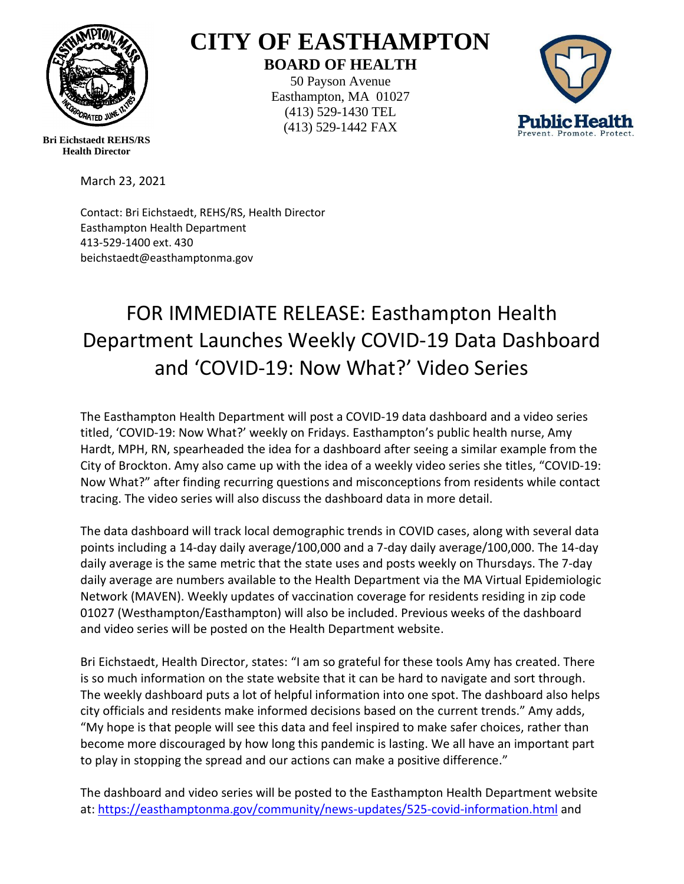

## **CITY OF EASTHAMPTON BOARD OF HEALTH**

50 Payson Avenue Easthampton, MA 01027 (413) 529-1430 TEL (413) 529-1442 FAX



**Bri Eichstaedt REHS/RS Health Director**

March 23, 2021

Contact: Bri Eichstaedt, REHS/RS, Health Director Easthampton Health Department 413-529-1400 ext. 430 beichstaedt@easthamptonma.gov

## FOR IMMEDIATE RELEASE: Easthampton Health Department Launches Weekly COVID-19 Data Dashboard and 'COVID-19: Now What?' Video Series

The Easthampton Health Department will post a COVID-19 data dashboard and a video series titled, 'COVID-19: Now What?' weekly on Fridays. Easthampton's public health nurse, Amy Hardt, MPH, RN, spearheaded the idea for a dashboard after seeing a similar example from the City of Brockton. Amy also came up with the idea of a weekly video series she titles, "COVID-19: Now What?" after finding recurring questions and misconceptions from residents while contact tracing. The video series will also discuss the dashboard data in more detail.

The data dashboard will track local demographic trends in COVID cases, along with several data points including a 14-day daily average/100,000 and a 7-day daily average/100,000. The 14-day daily average is the same metric that the state uses and posts weekly on Thursdays. The 7-day daily average are numbers available to the Health Department via the MA Virtual Epidemiologic Network (MAVEN). Weekly updates of vaccination coverage for residents residing in zip code 01027 (Westhampton/Easthampton) will also be included. Previous weeks of the dashboard and video series will be posted on the Health Department website.

Bri Eichstaedt, Health Director, states: "I am so grateful for these tools Amy has created. There is so much information on the state website that it can be hard to navigate and sort through. The weekly dashboard puts a lot of helpful information into one spot. The dashboard also helps city officials and residents make informed decisions based on the current trends." Amy adds, "My hope is that people will see this data and feel inspired to make safer choices, rather than become more discouraged by how long this pandemic is lasting. We all have an important part to play in stopping the spread and our actions can make a positive difference."

The dashboard and video series will be posted to the Easthampton Health Department website at: <https://easthamptonma.gov/community/news-updates/525-covid-information.html> and